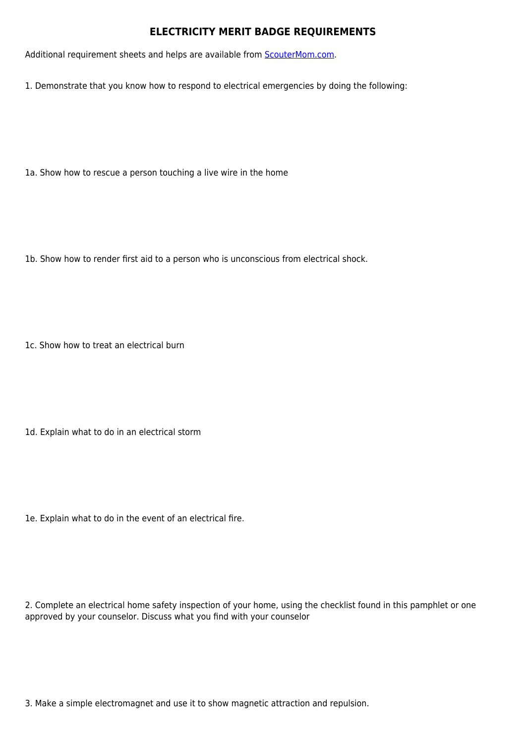## **ELECTRICITY MERIT BADGE REQUIREMENTS**

Additional requirement sheets and helps are available from **[ScouterMom.com](http://scoutermom.com).** 

1. Demonstrate that you know how to respond to electrical emergencies by doing the following:

1a. Show how to rescue a person touching a live wire in the home

1b. Show how to render first aid to a person who is unconscious from electrical shock.

1c. Show how to treat an electrical burn

1d. Explain what to do in an electrical storm

1e. Explain what to do in the event of an electrical fire.

2. Complete an electrical home safety inspection of your home, using the checklist found in this pamphlet or one approved by your counselor. Discuss what you find with your counselor

3. Make a simple electromagnet and use it to show magnetic attraction and repulsion.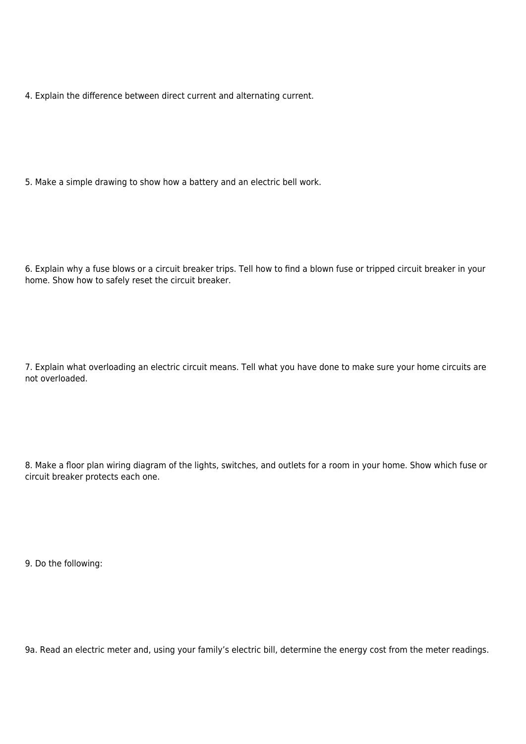4. Explain the difference between direct current and alternating current.

5. Make a simple drawing to show how a battery and an electric bell work.

6. Explain why a fuse blows or a circuit breaker trips. Tell how to find a blown fuse or tripped circuit breaker in your home. Show how to safely reset the circuit breaker.

7. Explain what overloading an electric circuit means. Tell what you have done to make sure your home circuits are not overloaded.

8. Make a floor plan wiring diagram of the lights, switches, and outlets for a room in your home. Show which fuse or circuit breaker protects each one.

9. Do the following:

9a. Read an electric meter and, using your family's electric bill, determine the energy cost from the meter readings.